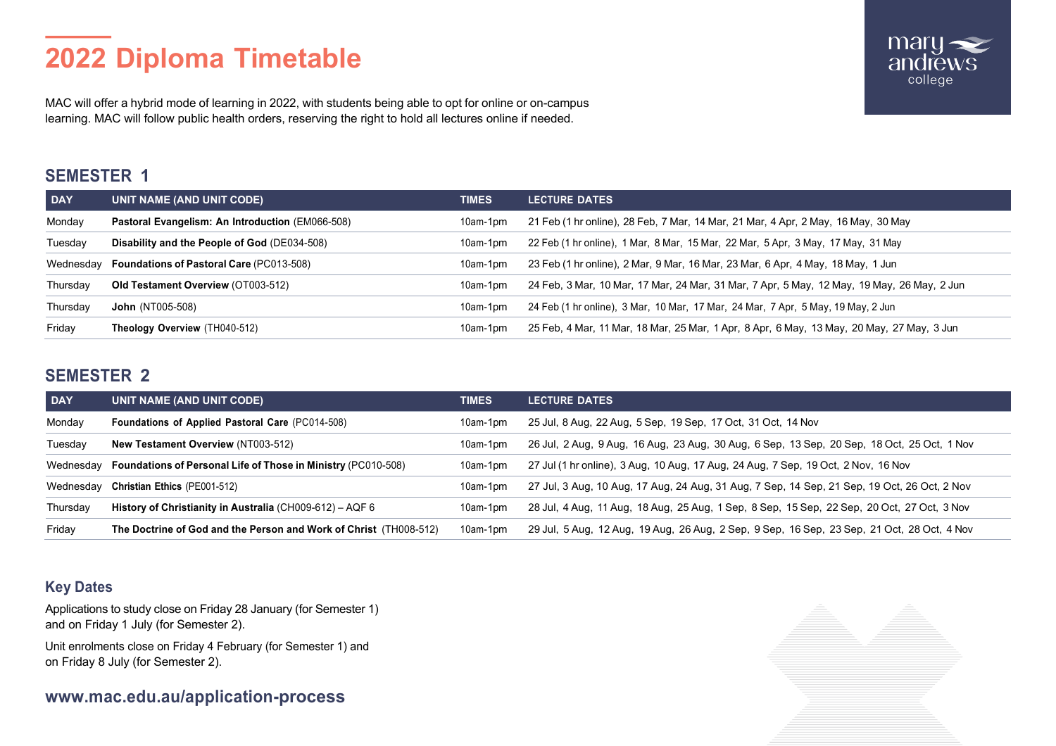# **2022 Diploma Timetable**



MAC will offer a hybrid mode of learning in 2022, with students being able to opt for online or on-campus learning. MAC will follow public health orders, reserving the right to hold all lectures online if needed.

# **SEMESTER 1**

| <b>DAY</b> | UNIT NAME (AND UNIT CODE)                          | <b>TIMES</b> | <b>LECTURE DATES</b>                                                                       |
|------------|----------------------------------------------------|--------------|--------------------------------------------------------------------------------------------|
| Monday     | Pastoral Evangelism: An Introduction (EM066-508)   | 10am-1pm     | 21 Feb (1 hr online), 28 Feb, 7 Mar, 14 Mar, 21 Mar, 4 Apr, 2 May, 16 May, 30 May          |
| Tuesdav    | Disability and the People of God (DE034-508)       | 10am-1pm     | 22 Feb (1 hr online), 1 Mar, 8 Mar, 15 Mar, 22 Mar, 5 Apr, 3 May, 17 May, 31 May           |
|            | Wednesday Foundations of Pastoral Care (PC013-508) | $10am-1dm$   | 23 Feb (1 hr online), 2 Mar, 9 Mar, 16 Mar, 23 Mar, 6 Apr, 4 May, 18 May, 1 Jun            |
| Thursday   | <b>Old Testament Overview (OT003-512)</b>          | 10am-1pm     | 24 Feb, 3 Mar, 10 Mar, 17 Mar, 24 Mar, 31 Mar, 7 Apr, 5 May, 12 May, 19 May, 26 May, 2 Jun |
| Thursday   | <b>John</b> (NT005-508)                            | $10am-1dm$   | 24 Feb (1 hr online), 3 Mar, 10 Mar, 17 Mar, 24 Mar, 7 Apr, 5 May, 19 May, 2 Jun           |
| Friday     | Theology Overview (TH040-512)                      | 10am-1pm     | 25 Feb, 4 Mar, 11 Mar, 18 Mar, 25 Mar, 1 Apr, 8 Apr, 6 May, 13 May, 20 May, 27 May, 3 Jun  |

## **SEMESTER 2**

| <b>DAY</b> | UNIT NAME (AND UNIT CODE)                                               | <b>TIMES</b> | <b>LECTURE DATES</b>                                                                        |
|------------|-------------------------------------------------------------------------|--------------|---------------------------------------------------------------------------------------------|
| Monday     | <b>Foundations of Applied Pastoral Care (PC014-508)</b>                 | 10am-1pm     | 25 Jul, 8 Aug, 22 Aug, 5 Sep, 19 Sep, 17 Oct, 31 Oct, 14 Nov                                |
| Tuesday    | <b>New Testament Overview (NT003-512)</b>                               | 10am-1pm     | 26 Jul, 2 Aug, 9 Aug, 16 Aug, 23 Aug, 30 Aug, 6 Sep, 13 Sep, 20 Sep, 18 Oct, 25 Oct, 1 Nov  |
|            | Wednesday Foundations of Personal Life of Those in Ministry (PC010-508) | $10am-1pm$   | 27 Jul (1 hr online), 3 Aug, 10 Aug, 17 Aug, 24 Aug, 7 Sep, 19 Oct, 2 Nov, 16 Nov           |
|            | Wednesday Christian Ethics (PE001-512)                                  | 10am-1pm     | 27 Jul, 3 Aug, 10 Aug, 17 Aug, 24 Aug, 31 Aug, 7 Sep, 14 Sep, 21 Sep, 19 Oct, 26 Oct, 2 Nov |
| Thursday   | History of Christianity in Australia (CH009-612) – AQF 6                | 10am-1pm     | 28 Jul, 4 Aug, 11 Aug, 18 Aug, 25 Aug, 1 Sep, 8 Sep, 15 Sep, 22 Sep, 20 Oct, 27 Oct, 3 Nov  |
| Friday     | The Doctrine of God and the Person and Work of Christ (TH008-512)       | $10am-1pm$   | 29 Jul, 5 Aug, 12 Aug, 19 Aug, 26 Aug, 2 Sep, 9 Sep, 16 Sep, 23 Sep, 21 Oct, 28 Oct, 4 Nov  |

## **Key Dates**

Applications to study close on Friday 28 January (for Semester 1) and on Friday 1 July (for Semester 2).

Unit enrolments close on Friday 4 February (for Semester 1) and on Friday 8 July (for Semester 2).